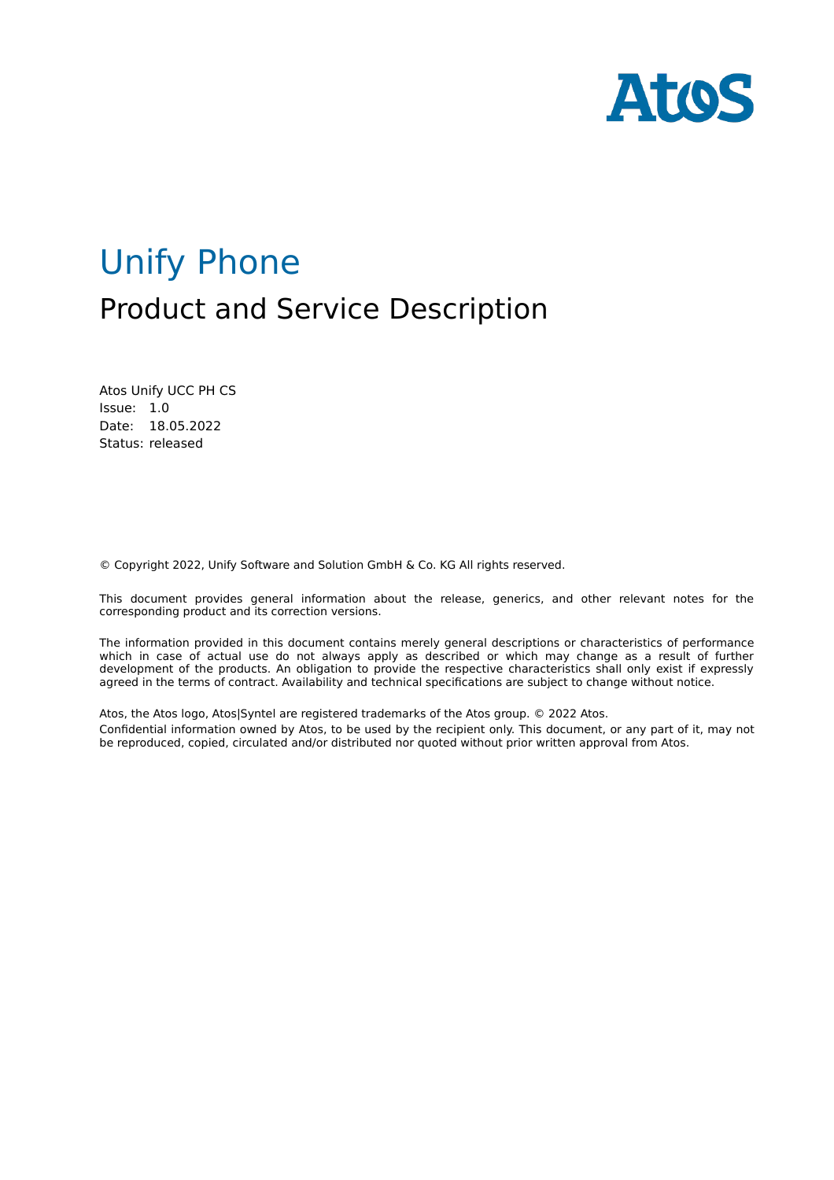

# Unify Phone Product and Service Description

Atos Unify UCC PH CS Issue: 1.0 Date: 18.05.2022 Status: released

© Copyright 2022, Unify Software and Solution GmbH & Co. KG All rights reserved.

This document provides general information about the release, generics, and other relevant notes for the corresponding product and its correction versions.

The information provided in this document contains merely general descriptions or characteristics of performance which in case of actual use do not always apply as described or which may change as a result of further development of the products. An obligation to provide the respective characteristics shall only exist if expressly agreed in the terms of contract. Availability and technical specifications are subject to change without notice.

Atos, the Atos logo, Atos|Syntel are registered trademarks of the Atos group. © 2022 Atos.

Confidential information owned by Atos, to be used by the recipient only. This document, or any part of it, may not be reproduced, copied, circulated and/or distributed nor quoted without prior written approval from Atos.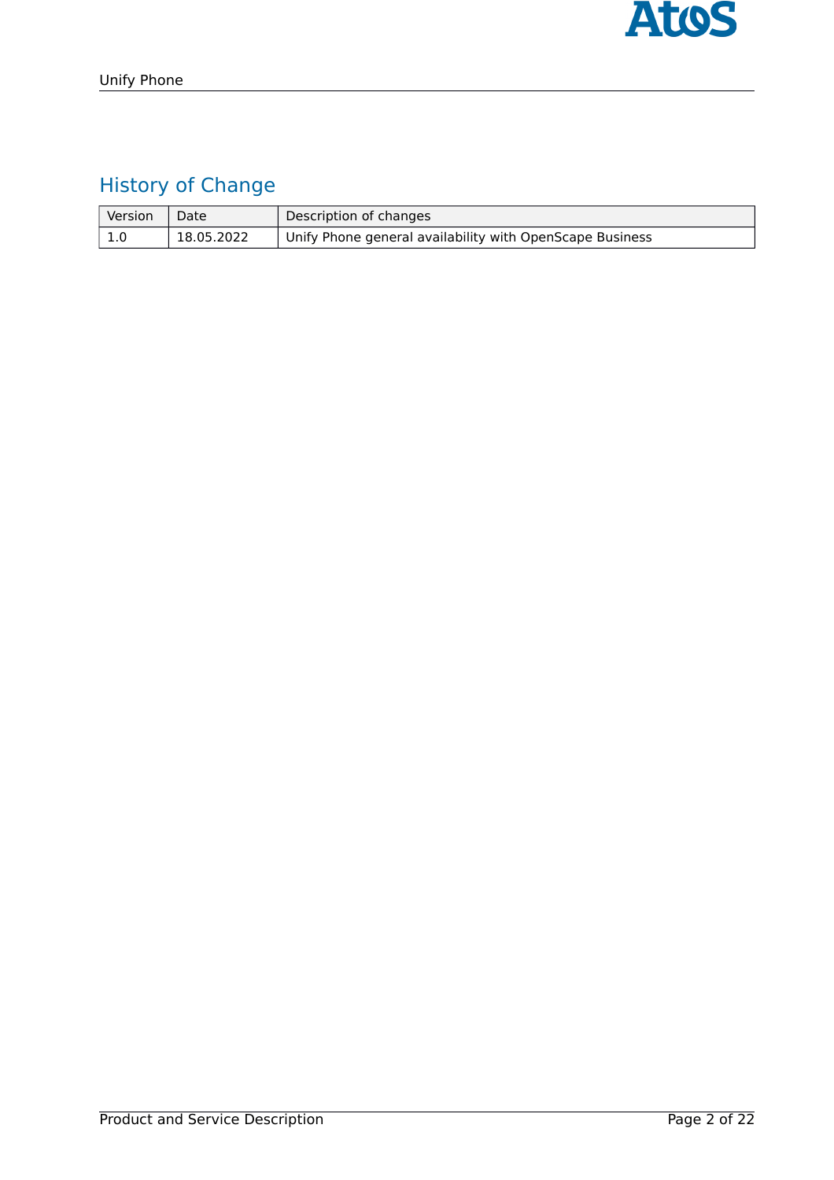

# History of Change

| ' Version | Date       | Description of changes                                   |
|-----------|------------|----------------------------------------------------------|
| 1.0       | 18.05.2022 | Unify Phone general availability with OpenScape Business |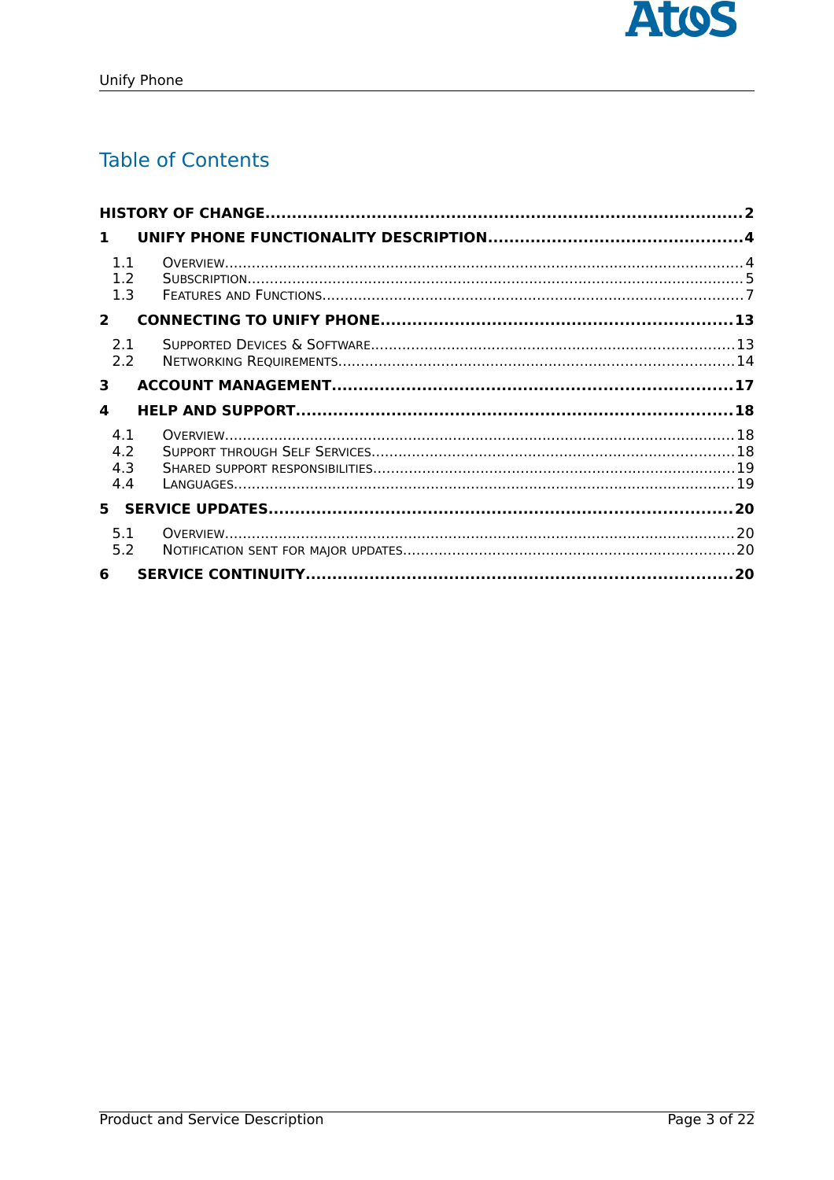

# **Table of Contents**

| 1                              |  |
|--------------------------------|--|
| 1.1<br>1.2 <sub>2</sub><br>1.3 |  |
| $\overline{2}$                 |  |
| 2.1<br>2.2                     |  |
| 3                              |  |
| 4                              |  |
| 4.1<br>4.2<br>4.3<br>4.4       |  |
|                                |  |
| 5.1<br>5.2                     |  |
| 6                              |  |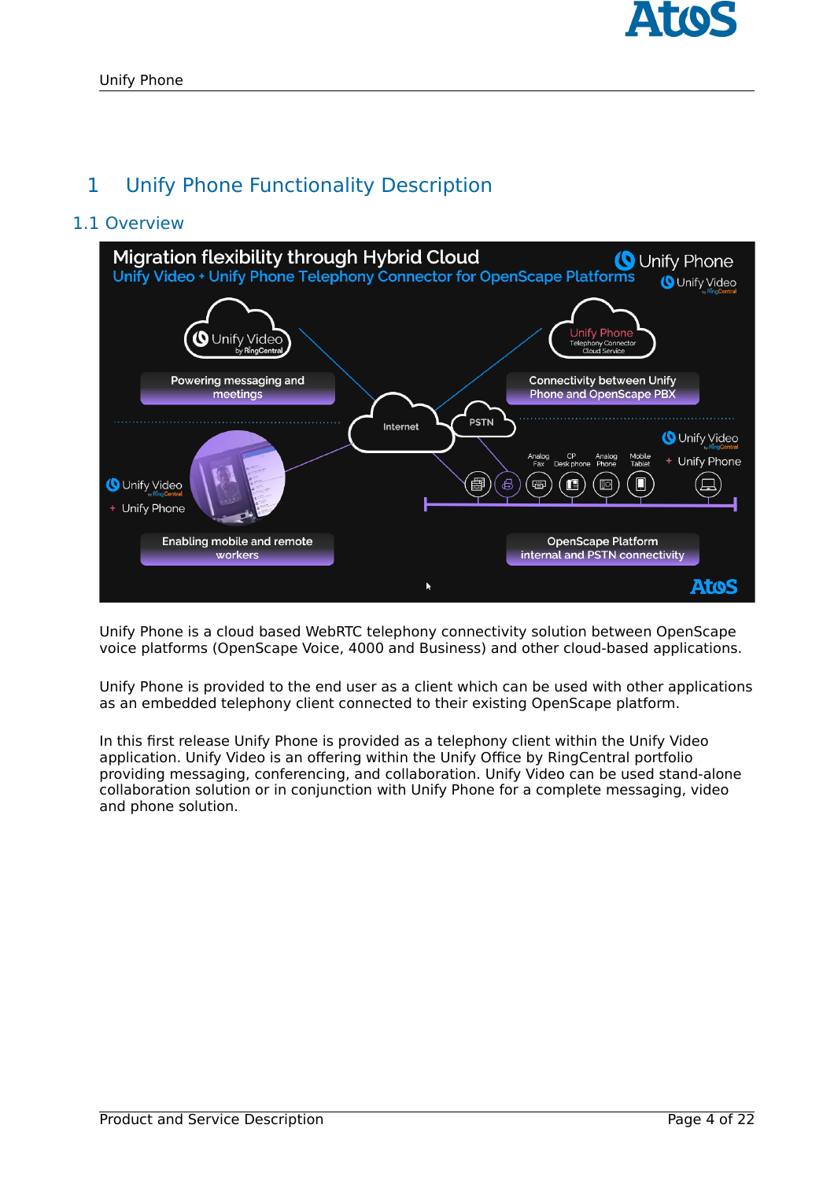

## 1 Unify Phone Functionality Description

### 1.1 Overview



Unify Phone is a cloud based WebRTC telephony connectivity solution between OpenScape voice platforms (OpenScape Voice, 4000 and Business) and other cloud-based applications.

Unify Phone is provided to the end user as a client which can be used with other applications as an embedded telephony client connected to their existing OpenScape platform.

In this first release Unify Phone is provided as a telephony client within the Unify Video application. Unify Video is an offering within the Unify Office by RingCentral portfolio providing messaging, conferencing, and collaboration. Unify Video can be used stand-alone collaboration solution or in conjunction with Unify Phone for a complete messaging, video and phone solution.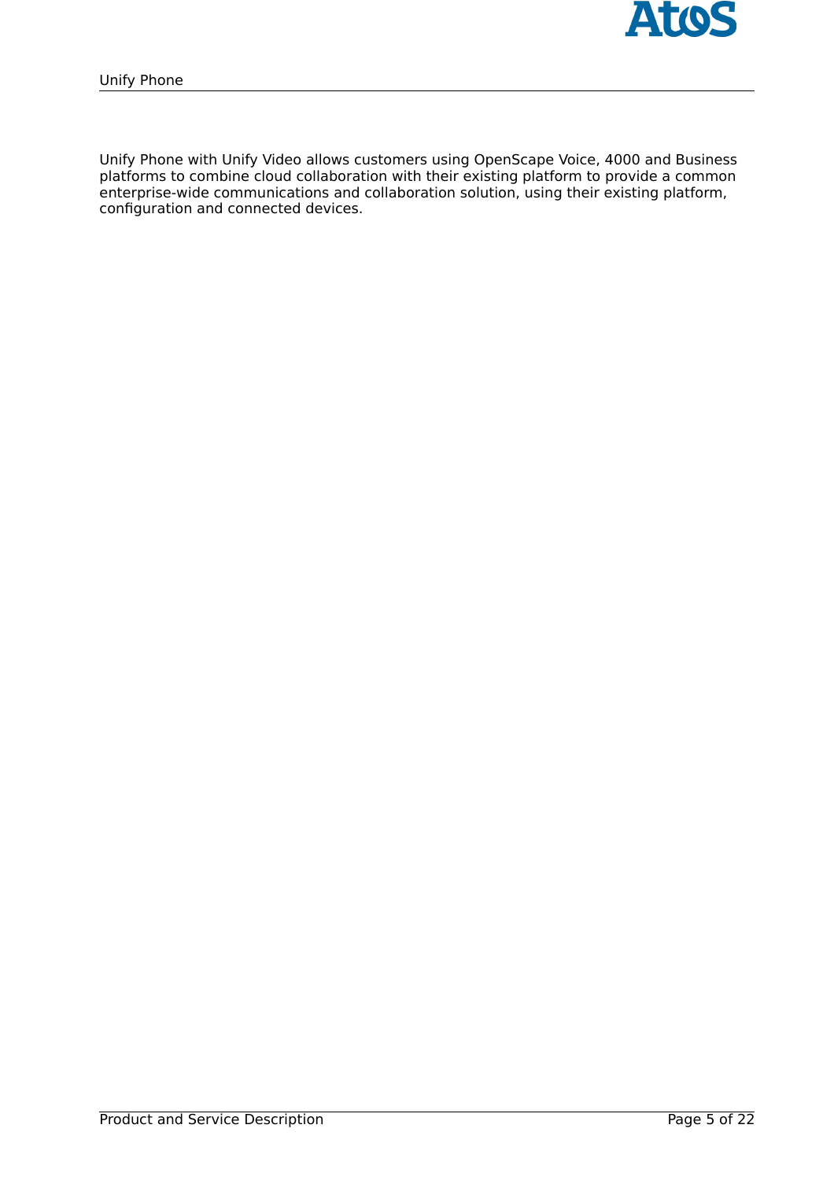

Unify Phone with Unify Video allows customers using OpenScape Voice, 4000 and Business platforms to combine cloud collaboration with their existing platform to provide a common enterprise-wide communications and collaboration solution, using their existing platform, configuration and connected devices.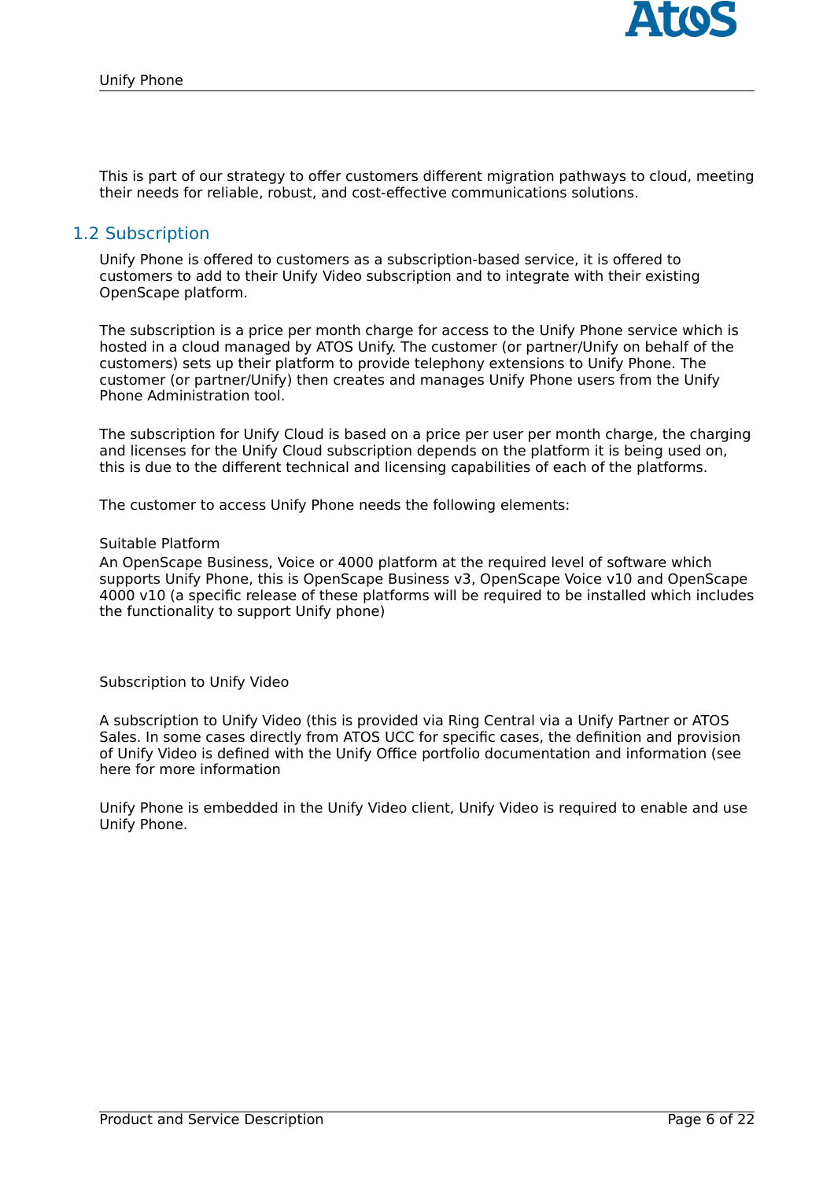

This is part of our strategy to offer customers different migration pathways to cloud, meeting their needs for reliable, robust, and cost-effective communications solutions.

### 1.2 Subscription

Unify Phone is offered to customers as a subscription-based service, it is offered to customers to add to their Unify Video subscription and to integrate with their existing OpenScape platform.

The subscription is a price per month charge for access to the Unify Phone service which is hosted in a cloud managed by ATOS Unify. The customer (or partner/Unify on behalf of the customers) sets up their platform to provide telephony extensions to Unify Phone. The customer (or partner/Unify) then creates and manages Unify Phone users from the Unify Phone Administration tool.

The subscription for Unify Cloud is based on a price per user per month charge, the charging and licenses for the Unify Cloud subscription depends on the platform it is being used on, this is due to the different technical and licensing capabilities of each of the platforms.

The customer to access Unify Phone needs the following elements:

#### Suitable Platform

An OpenScape Business, Voice or 4000 platform at the required level of software which supports Unify Phone, this is OpenScape Business v3, OpenScape Voice v10 and OpenScape 4000 v10 (a specific release of these platforms will be required to be installed which includes the functionality to support Unify phone)

Subscription to Unify Video

A subscription to Unify Video (this is provided via Ring Central via a Unify Partner or ATOS Sales. In some cases directly from ATOS UCC for specific cases, the definition and provision of Unify Video is defined with the Unify Office portfolio documentation and information (see here for more information

Unify Phone is embedded in the Unify Video client, Unify Video is required to enable and use Unify Phone.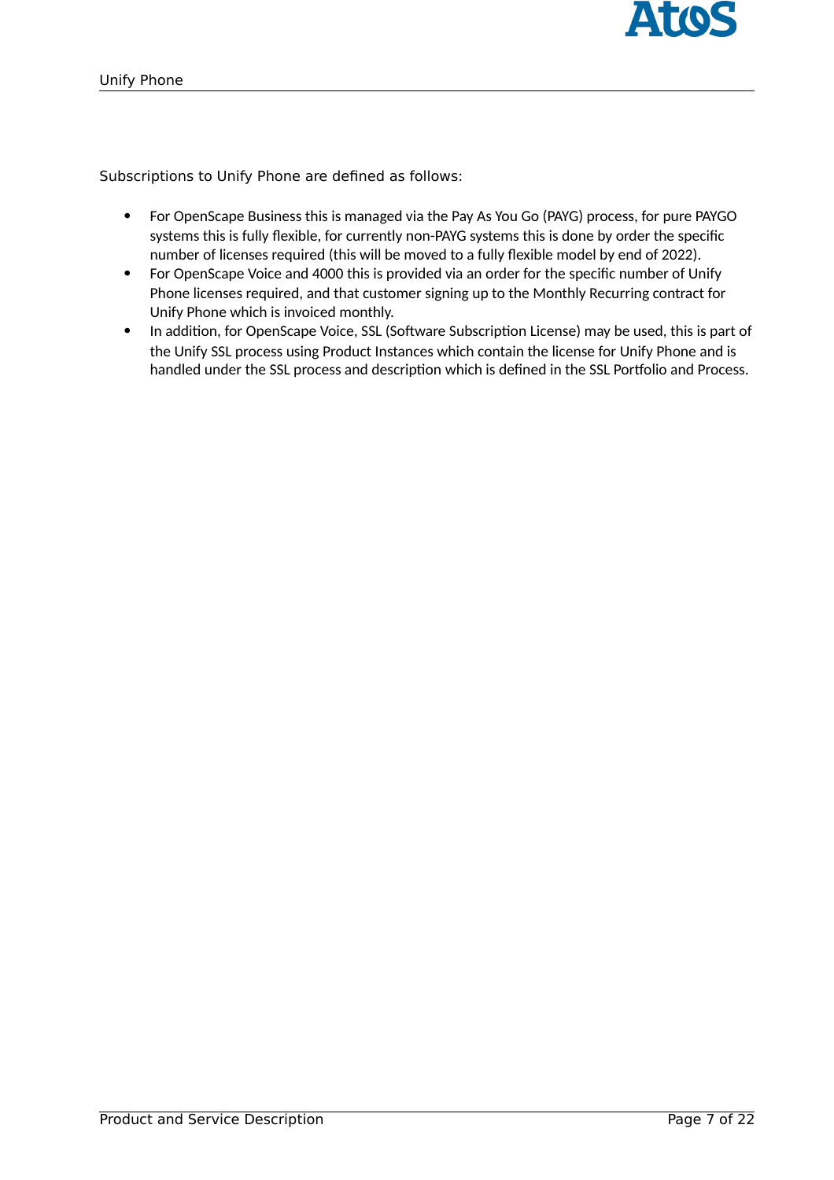Subscriptions to Unify Phone are defined as follows:

- For OpenScape Business this is managed via the Pay As You Go (PAYG) process, for pure PAYGO systems this is fully flexible, for currently non-PAYG systems this is done by order the specific number of licenses required (this will be moved to a fully flexible model by end of 2022).
- For OpenScape Voice and 4000 this is provided via an order for the specific number of Unify Phone licenses required, and that customer signing up to the Monthly Recurring contract for Unify Phone which is invoiced monthly.
- In addition, for OpenScape Voice, SSL (Software Subscription License) may be used, this is part of the Unify SSL process using Product Instances which contain the license for Unify Phone and is handled under the SSL process and description which is defined in the SSL Portfolio and Process.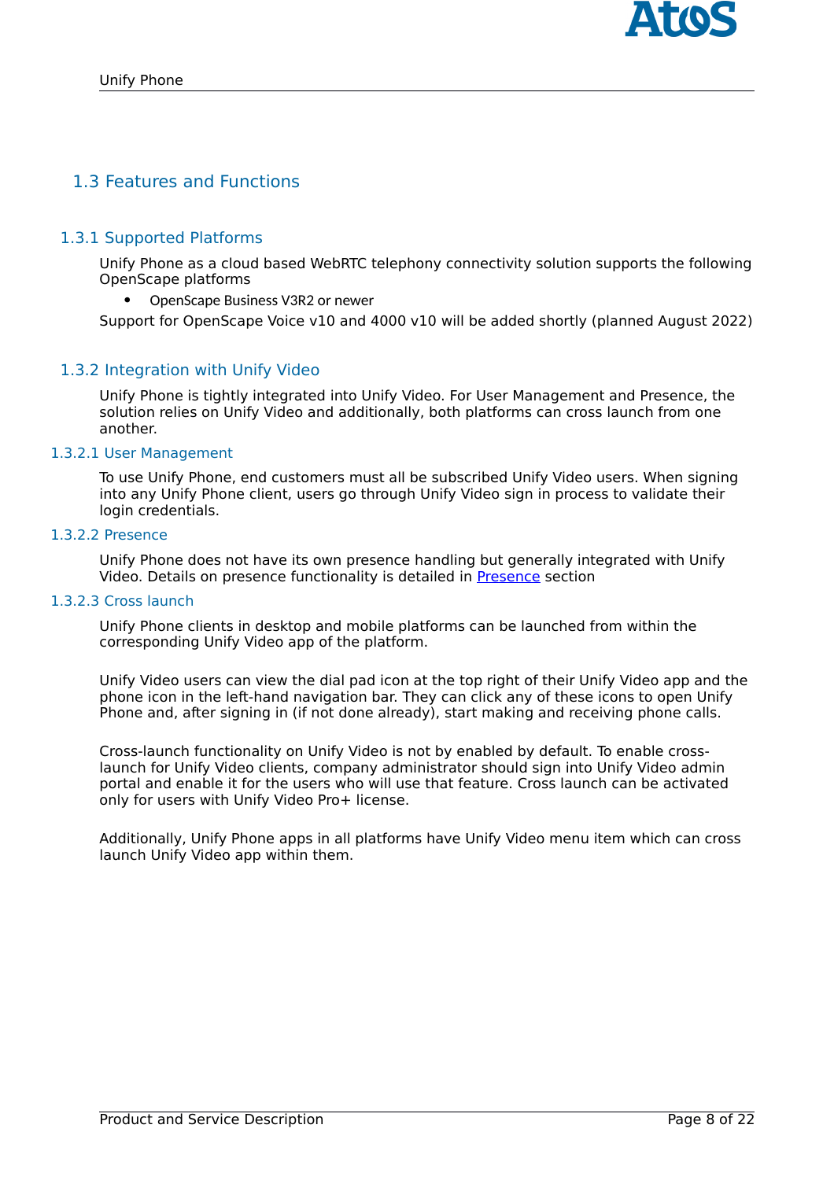

### 1.3 Features and Functions

### 1.3.1 Supported Platforms

Unify Phone as a cloud based WebRTC telephony connectivity solution supports the following OpenScape platforms

OpenScape Business V3R2 or newer

Support for OpenScape Voice v10 and 4000 v10 will be added shortly (planned August 2022)

### 1.3.2 Integration with Unify Video

Unify Phone is tightly integrated into Unify Video. For User Management and Presence, the solution relies on Unify Video and additionally, both platforms can cross launch from one another.

### 1.3.2.1 User Management

To use Unify Phone, end customers must all be subscribed Unify Video users. When signing into any Unify Phone client, users go through Unify Video sign in process to validate their login credentials.

#### 1.3.2.2 Presence

Unify Phone does not have its own presence handling but generally integrated with Unify Video. Details on presence functionality is detailed in [Presence](#page-9-0) section

#### 1.3.2.3 Cross launch

Unify Phone clients in desktop and mobile platforms can be launched from within the corresponding Unify Video app of the platform.

Unify Video users can view the dial pad icon at the top right of their Unify Video app and the phone icon in the left-hand navigation bar. They can click any of these icons to open Unify Phone and, after signing in (if not done already), start making and receiving phone calls.

Cross-launch functionality on Unify Video is not by enabled by default. To enable crosslaunch for Unify Video clients, company administrator should sign into Unify Video admin portal and enable it for the users who will use that feature. Cross launch can be activated only for users with Unify Video Pro+ license.

Additionally, Unify Phone apps in all platforms have Unify Video menu item which can cross launch Unify Video app within them.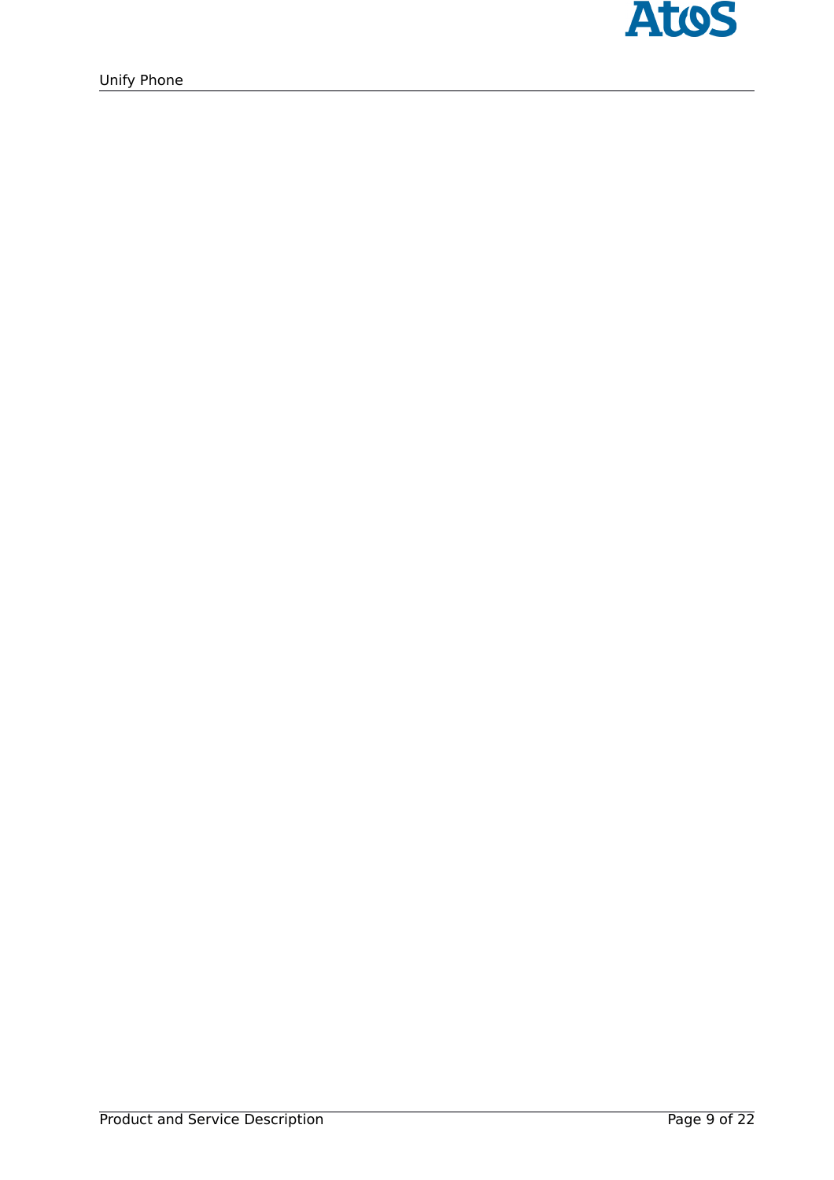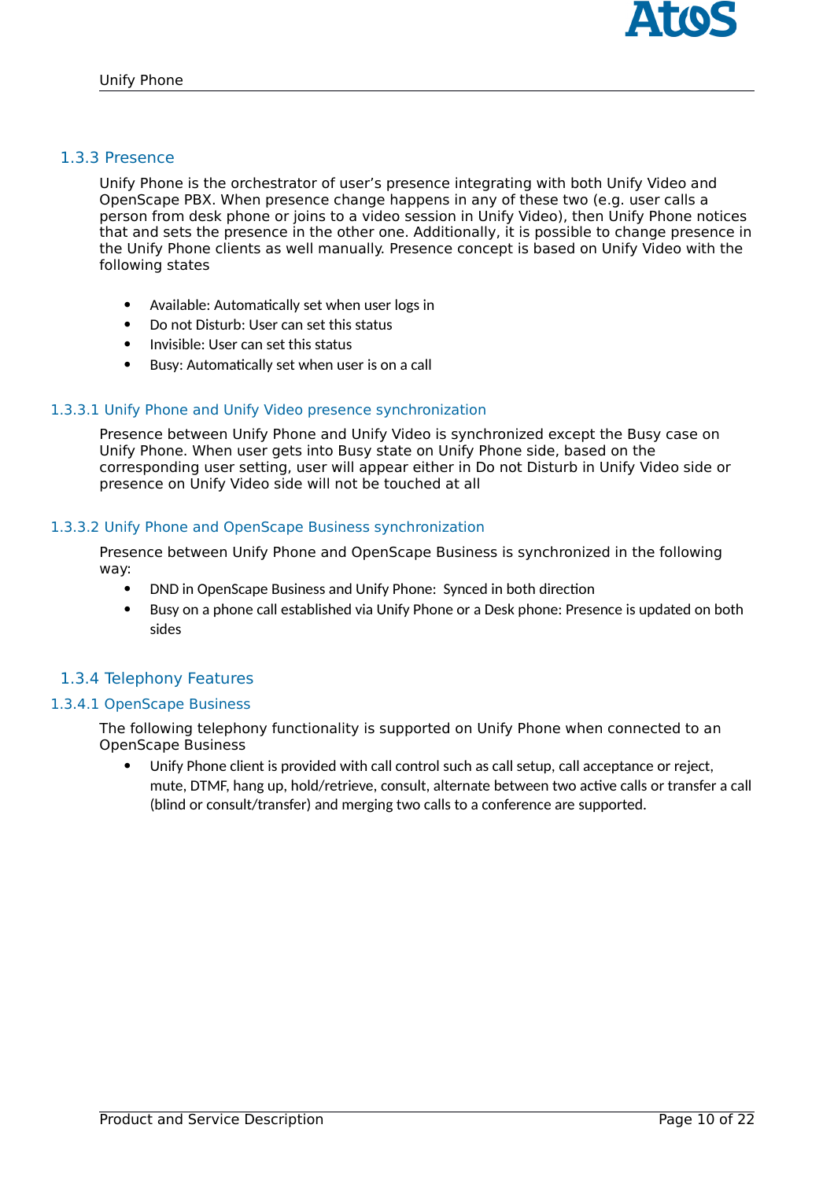

### 1.3.3 Presence

<span id="page-9-0"></span>Unify Phone is the orchestrator of user's presence integrating with both Unify Video and OpenScape PBX. When presence change happens in any of these two (e.g. user calls a person from desk phone or joins to a video session in Unify Video), then Unify Phone notices that and sets the presence in the other one. Additionally, it is possible to change presence in the Unify Phone clients as well manually. Presence concept is based on Unify Video with the following states

- Available: Automatically set when user logs in
- Do not Disturb: User can set this status
- Invisible: User can set this status
- Busy: Automatically set when user is on a call

### 1.3.3.1 Unify Phone and Unify Video presence synchronization

Presence between Unify Phone and Unify Video is synchronized except the Busy case on Unify Phone. When user gets into Busy state on Unify Phone side, based on the corresponding user setting, user will appear either in Do not Disturb in Unify Video side or presence on Unify Video side will not be touched at all

### 1.3.3.2 Unify Phone and OpenScape Business synchronization

Presence between Unify Phone and OpenScape Business is synchronized in the following way:

- DND in OpenScape Business and Unify Phone: Synced in both direction
- Busy on a phone call established via Unify Phone or a Desk phone: Presence is updated on both sides

### 1.3.4 Telephony Features

#### 1.3.4.1 OpenScape Business

The following telephony functionality is supported on Unify Phone when connected to an OpenScape Business

 Unify Phone client is provided with call control such as call setup, call acceptance or reject, mute, DTMF, hang up, hold/retrieve, consult, alternate between two active calls or transfer a call (blind or consult/transfer) and merging two calls to a conference are supported.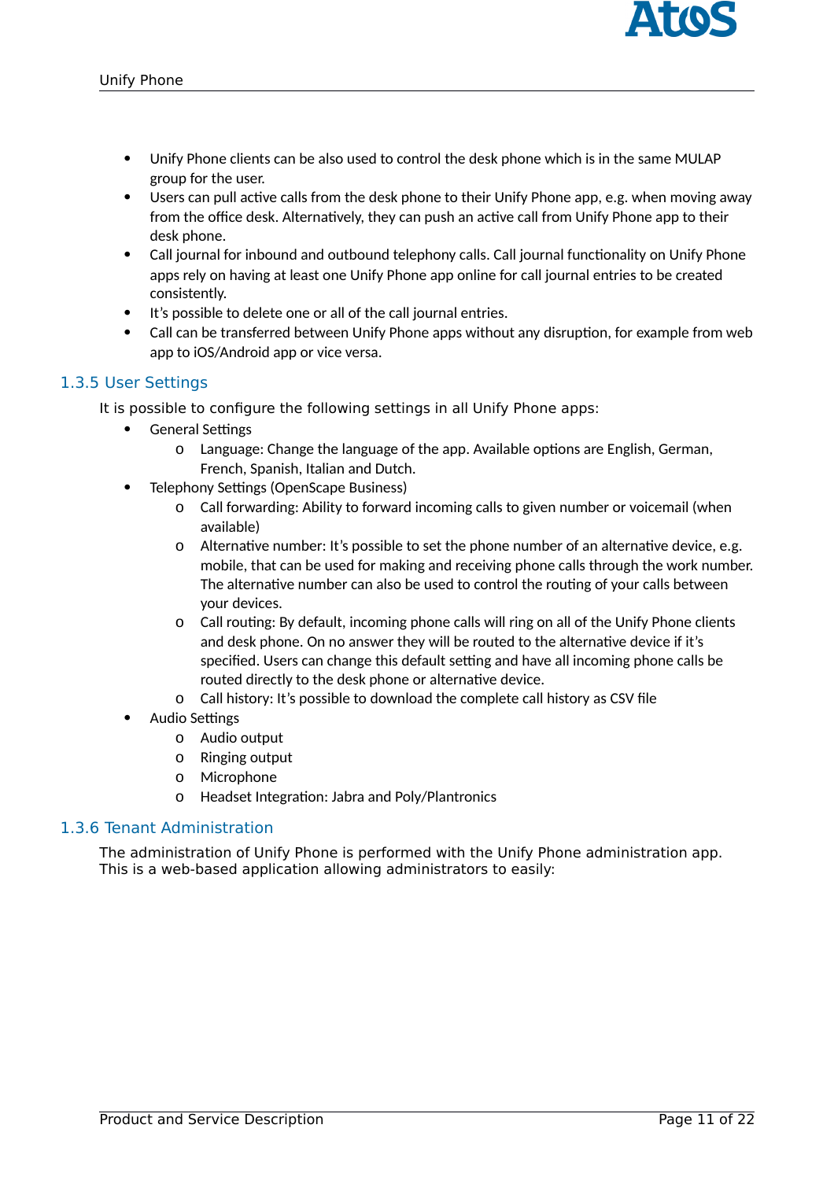

- Unify Phone clients can be also used to control the desk phone which is in the same MULAP group for the user.
- Users can pull active calls from the desk phone to their Unify Phone app, e.g. when moving away from the office desk. Alternatively, they can push an active call from Unify Phone app to their desk phone.
- Call journal for inbound and outbound telephony calls. Call journal functionality on Unify Phone apps rely on having at least one Unify Phone app online for call journal entries to be created consistently.
- It's possible to delete one or all of the call journal entries.
- Call can be transferred between Unify Phone apps without any disruption, for example from web app to iOS/Android app or vice versa.

### 1.3.5 User Settings

It is possible to configure the following settings in all Unify Phone apps:

- General Settings
	- o Language: Change the language of the app. Available options are English, German, French, Spanish, Italian and Dutch.
- Telephony Settings (OpenScape Business)
	- o Call forwarding: Ability to forward incoming calls to given number or voicemail (when available)
	- o Alternative number: It's possible to set the phone number of an alternative device, e.g. mobile, that can be used for making and receiving phone calls through the work number. The alternative number can also be used to control the routing of your calls between your devices.
	- o Call routing: By default, incoming phone calls will ring on all of the Unify Phone clients and desk phone. On no answer they will be routed to the alternative device if it's specified. Users can change this default setting and have all incoming phone calls be routed directly to the desk phone or alternative device.
	- o Call history: It's possible to download the complete call history as CSV file
- Audio Settings
	- o Audio output
	- o Ringing output
	- o Microphone
	- o Headset Integration: Jabra and Poly/Plantronics

### 1.3.6 Tenant Administration

<span id="page-10-0"></span>The administration of Unify Phone is performed with the Unify Phone administration app. This is a web-based application allowing administrators to easily: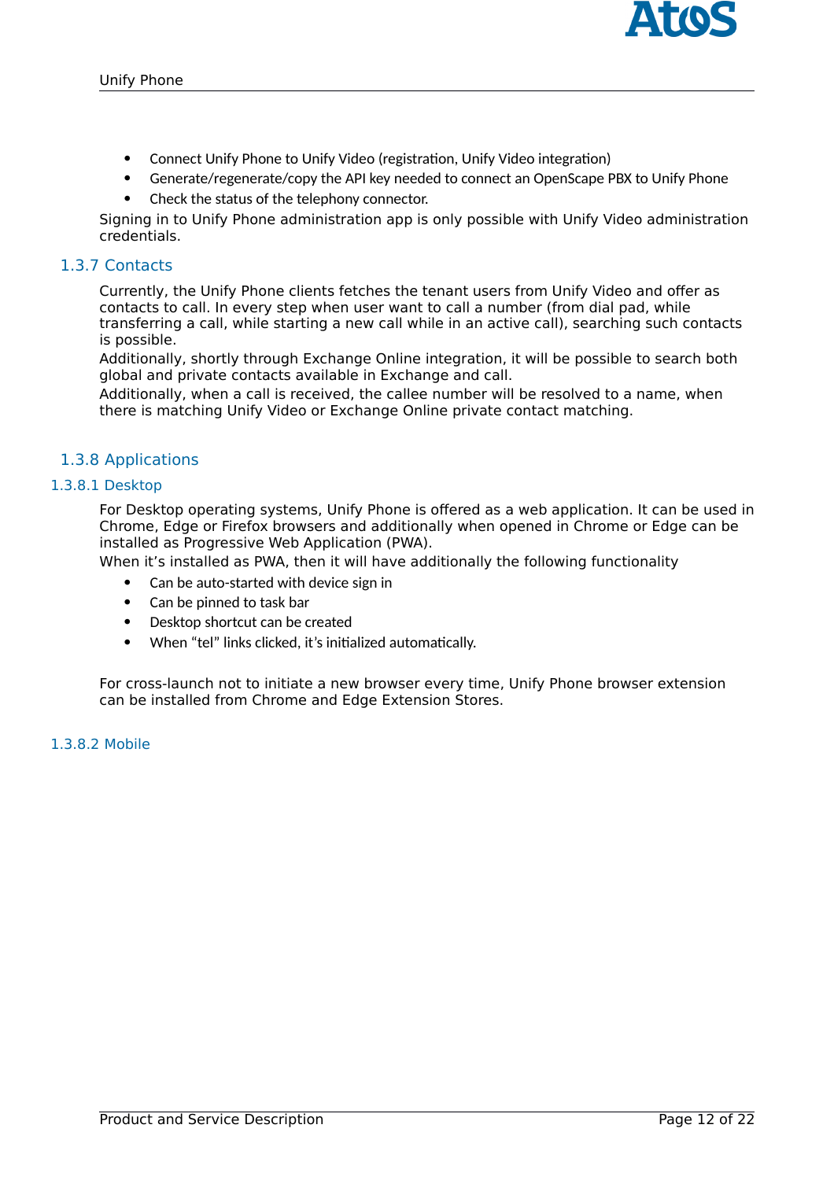

- Connect Unify Phone to Unify Video (registration, Unify Video integration)
- Generate/regenerate/copy the API key needed to connect an OpenScape PBX to Unify Phone
- Check the status of the telephony connector.

Signing in to Unify Phone administration app is only possible with Unify Video administration credentials.

### 1.3.7 Contacts

Currently, the Unify Phone clients fetches the tenant users from Unify Video and offer as contacts to call. In every step when user want to call a number (from dial pad, while transferring a call, while starting a new call while in an active call), searching such contacts is possible.

Additionally, shortly through Exchange Online integration, it will be possible to search both global and private contacts available in Exchange and call.

Additionally, when a call is received, the callee number will be resolved to a name, when there is matching Unify Video or Exchange Online private contact matching.

### 1.3.8 Applications

#### 1.3.8.1 Desktop

For Desktop operating systems, Unify Phone is offered as a web application. It can be used in Chrome, Edge or Firefox browsers and additionally when opened in Chrome or Edge can be installed as Progressive Web Application (PWA).

When it's installed as PWA, then it will have additionally the following functionality

- Can be auto-started with device sign in
- Can be pinned to task bar
- Desktop shortcut can be created
- When "tel" links clicked, it's initialized automatically.

For cross-launch not to initiate a new browser every time, Unify Phone browser extension can be installed from Chrome and Edge Extension Stores.

### 1.3.8.2 Mobile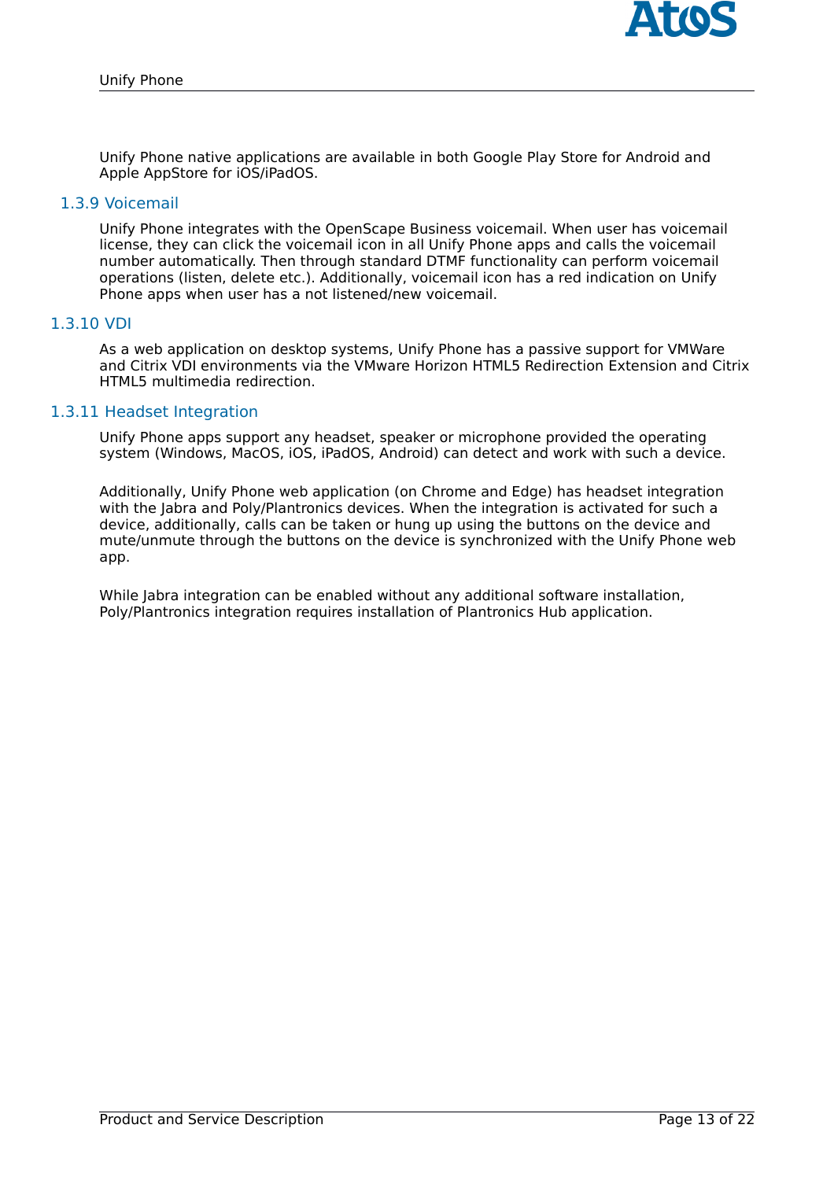

Unify Phone native applications are available in both Google Play Store for Android and Apple AppStore for iOS/iPadOS.

### 1.3.9 Voicemail

Unify Phone integrates with the OpenScape Business voicemail. When user has voicemail license, they can click the voicemail icon in all Unify Phone apps and calls the voicemail number automatically. Then through standard DTMF functionality can perform voicemail operations (listen, delete etc.). Additionally, voicemail icon has a red indication on Unify Phone apps when user has a not listened/new voicemail.

### 1.3.10 VDI

As a web application on desktop systems, Unify Phone has a passive support for VMWare and Citrix VDI environments via the VMware Horizon HTML5 Redirection Extension and Citrix HTML5 multimedia redirection.

### 1.3.11 Headset Integration

Unify Phone apps support any headset, speaker or microphone provided the operating system (Windows, MacOS, iOS, iPadOS, Android) can detect and work with such a device.

Additionally, Unify Phone web application (on Chrome and Edge) has headset integration with the Jabra and Poly/Plantronics devices. When the integration is activated for such a device, additionally, calls can be taken or hung up using the buttons on the device and mute/unmute through the buttons on the device is synchronized with the Unify Phone web app.

While Jabra integration can be enabled without any additional software installation, Poly/Plantronics integration requires installation of Plantronics Hub application.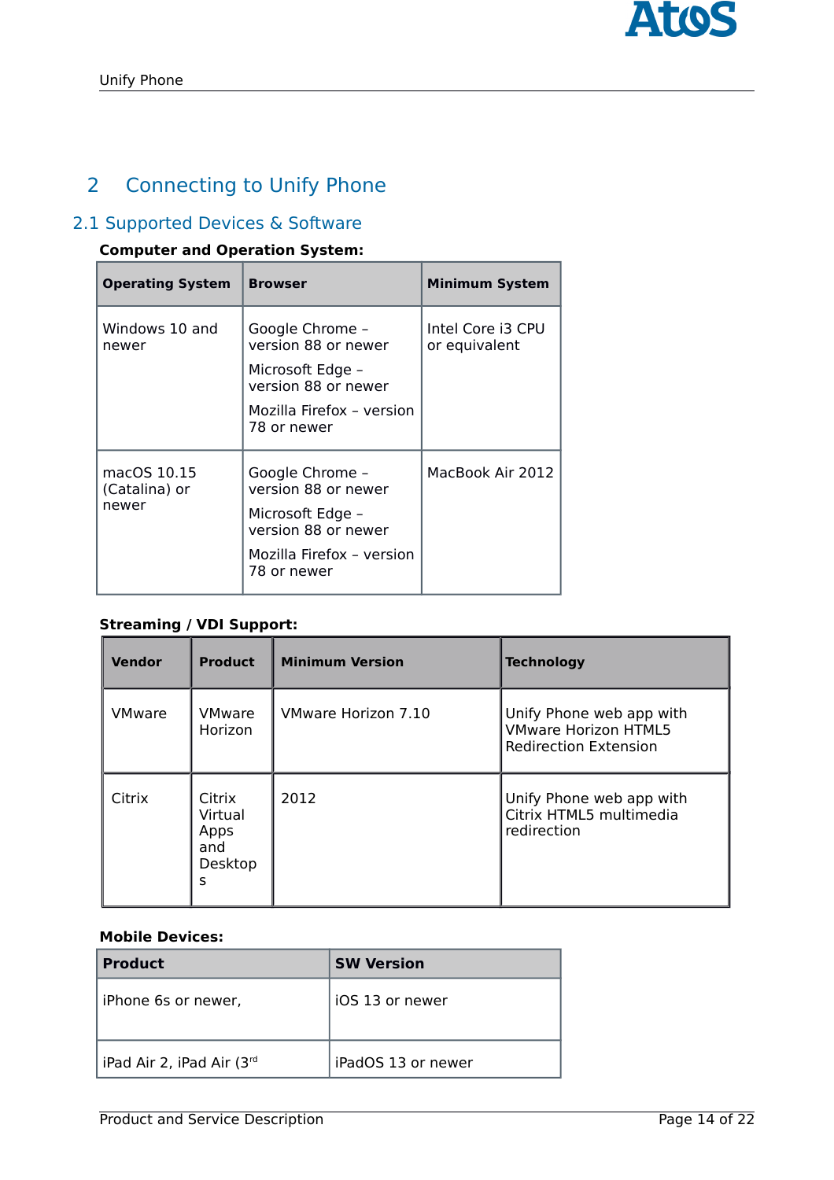

# 2 Connecting to Unify Phone

### 2.1 Supported Devices & Software

### **Computer and Operation System:**

| <b>Operating System</b>      | <b>Browser</b>                           | <b>Minimum System</b>              |
|------------------------------|------------------------------------------|------------------------------------|
| Windows 10 and<br>newer      | Google Chrome -<br>version 88 or newer   | Intel Core i3 CPU<br>or equivalent |
|                              | Microsoft Edge -<br>version 88 or newer  |                                    |
|                              | Mozilla Firefox - version<br>78 or newer |                                    |
| macOS 10.15<br>(Catalina) or | Google Chrome -<br>version 88 or newer   | MacBook Air 2012                   |
| newer                        | Microsoft Edge -<br>version 88 or newer  |                                    |
|                              | Mozilla Firefox - version<br>78 or newer |                                    |

### **Streaming / VDI Support:**

| <b>Vendor</b> | <b>Product</b>                                   | <b>Minimum Version</b> | <b>Technology</b>                                                                       |
|---------------|--------------------------------------------------|------------------------|-----------------------------------------------------------------------------------------|
| <b>VMware</b> | <b>VMware</b><br>Horizon                         | VMware Horizon 7.10    | Unify Phone web app with<br><b>VMware Horizon HTML5</b><br><b>Redirection Extension</b> |
| Citrix        | Citrix<br>Virtual<br>Apps<br>and<br>Desktop<br>s | 2012                   | Unify Phone web app with<br>Citrix HTML5 multimedia<br>redirection                      |

### **Mobile Devices:**

| <b>Product</b>            | <b>SW Version</b>  |
|---------------------------|--------------------|
| iPhone 6s or newer,       | iOS 13 or newer    |
| iPad Air 2, iPad Air (3rd | iPadOS 13 or newer |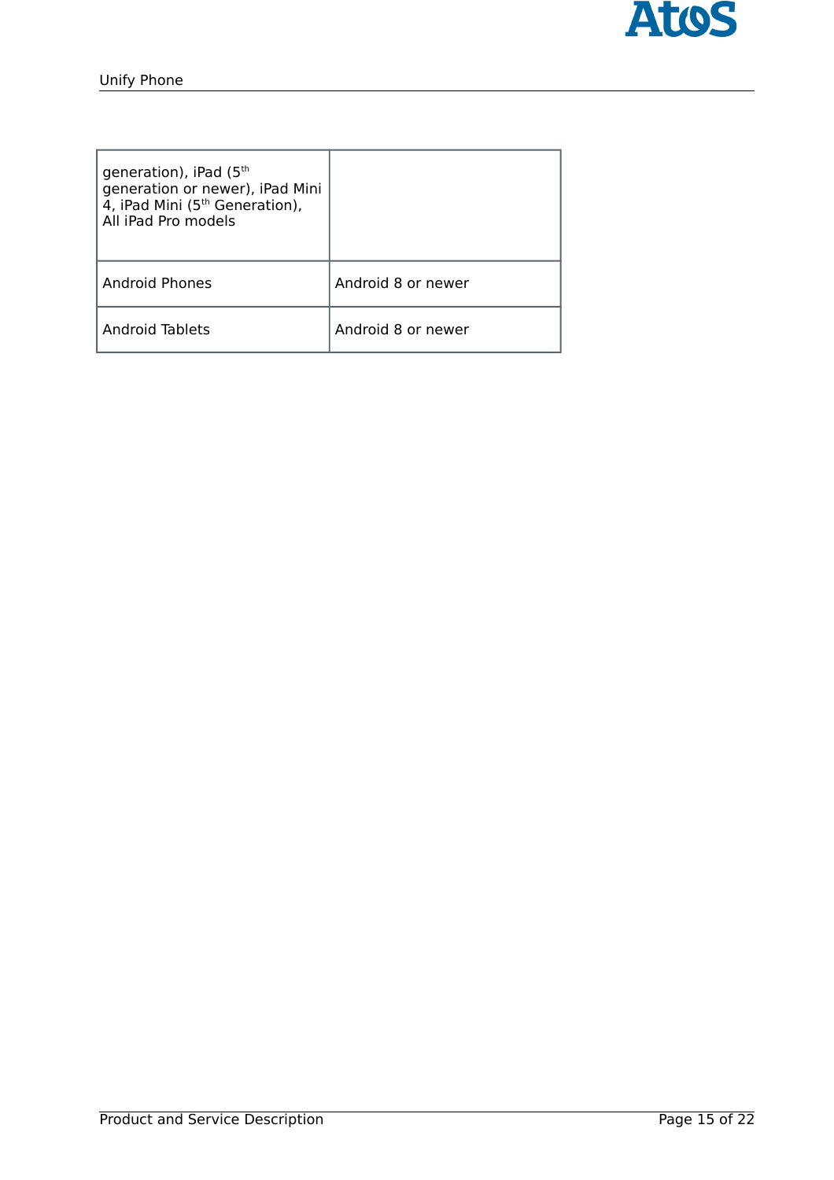

| generation), iPad (5th<br>generation or newer), iPad Mini<br>4, iPad Mini (5 <sup>th</sup> Generation),<br>All iPad Pro models |                    |
|--------------------------------------------------------------------------------------------------------------------------------|--------------------|
| <b>Android Phones</b>                                                                                                          | Android 8 or newer |
| <b>Android Tablets</b>                                                                                                         | Android 8 or newer |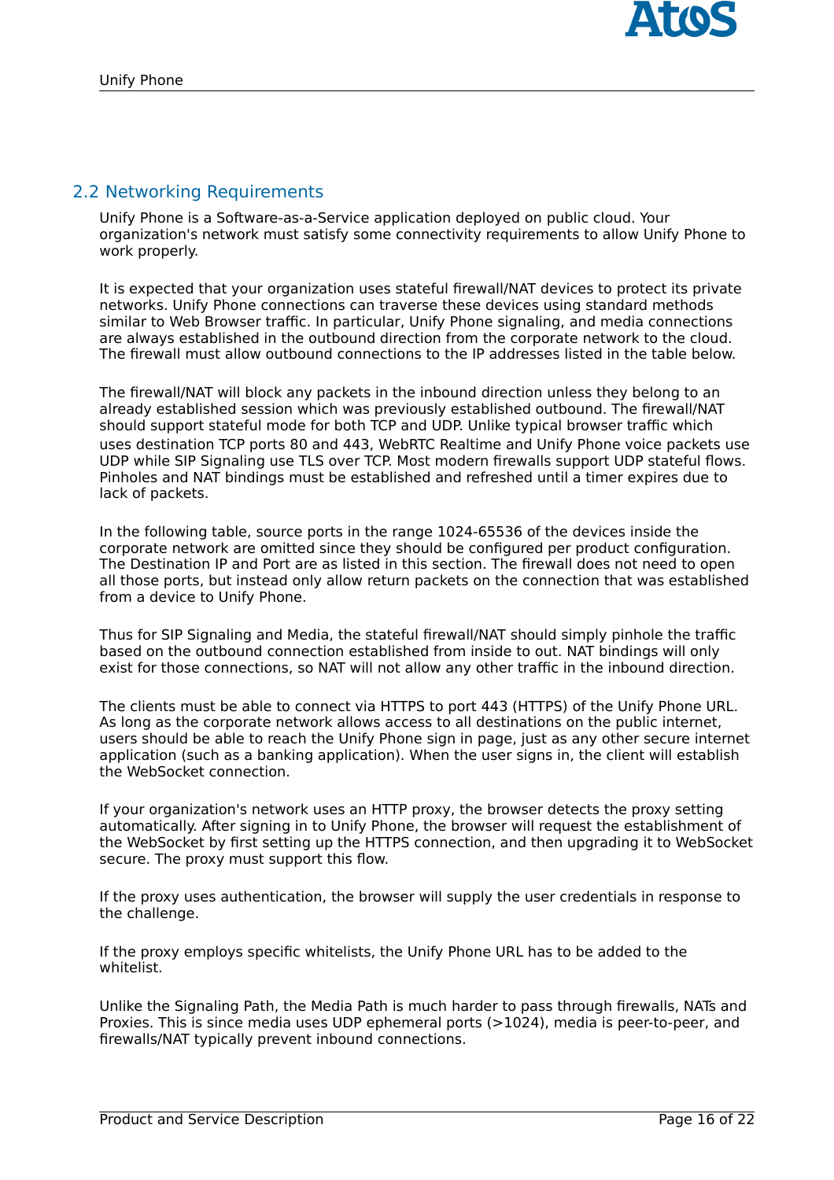

### 2.2 Networking Requirements

Unify Phone is a Software-as-a-Service application deployed on public cloud. Your organization's network must satisfy some connectivity requirements to allow Unify Phone to work properly.

It is expected that your organization uses stateful firewall/NAT devices to protect its private networks. Unify Phone connections can traverse these devices using standard methods similar to Web Browser traffic. In particular, Unify Phone signaling, and media connections are always established in the outbound direction from the corporate network to the cloud. The firewall must allow outbound connections to the IP addresses listed in the table below.

The firewall/NAT will block any packets in the inbound direction unless they belong to an already established session which was previously established outbound. The firewall/NAT should support stateful mode for both TCP and UDP. Unlike typical browser traffic which uses destination TCP ports 80 and 443, WebRTC Realtime and Unify Phone voice packets use UDP while SIP Signaling use TLS over TCP. Most modern firewalls support UDP stateful flows. Pinholes and NAT bindings must be established and refreshed until a timer expires due to lack of packets.

In the following table, source ports in the range 1024-65536 of the devices inside the corporate network are omitted since they should be configured per product configuration. The Destination IP and Port are as listed in this section. The firewall does not need to open all those ports, but instead only allow return packets on the connection that was established from a device to Unify Phone.

Thus for SIP Signaling and Media, the stateful firewall/NAT should simply pinhole the traffic based on the outbound connection established from inside to out. NAT bindings will only exist for those connections, so NAT will not allow any other traffic in the inbound direction.

The clients must be able to connect via HTTPS to port 443 (HTTPS) of the Unify Phone URL. As long as the corporate network allows access to all destinations on the public internet, users should be able to reach the Unify Phone sign in page, just as any other secure internet application (such as a banking application). When the user signs in, the client will establish the WebSocket connection.

If your organization's network uses an HTTP proxy, the browser detects the proxy setting automatically. After signing in to Unify Phone, the browser will request the establishment of the WebSocket by first setting up the HTTPS connection, and then upgrading it to WebSocket secure. The proxy must support this flow.

If the proxy uses authentication, the browser will supply the user credentials in response to the challenge.

If the proxy employs specific whitelists, the Unify Phone URL has to be added to the whitelist.

Unlike the Signaling Path, the Media Path is much harder to pass through firewalls, NATs and Proxies. This is since media uses UDP ephemeral ports (>1024), media is peer-to-peer, and firewalls/NAT typically prevent inbound connections.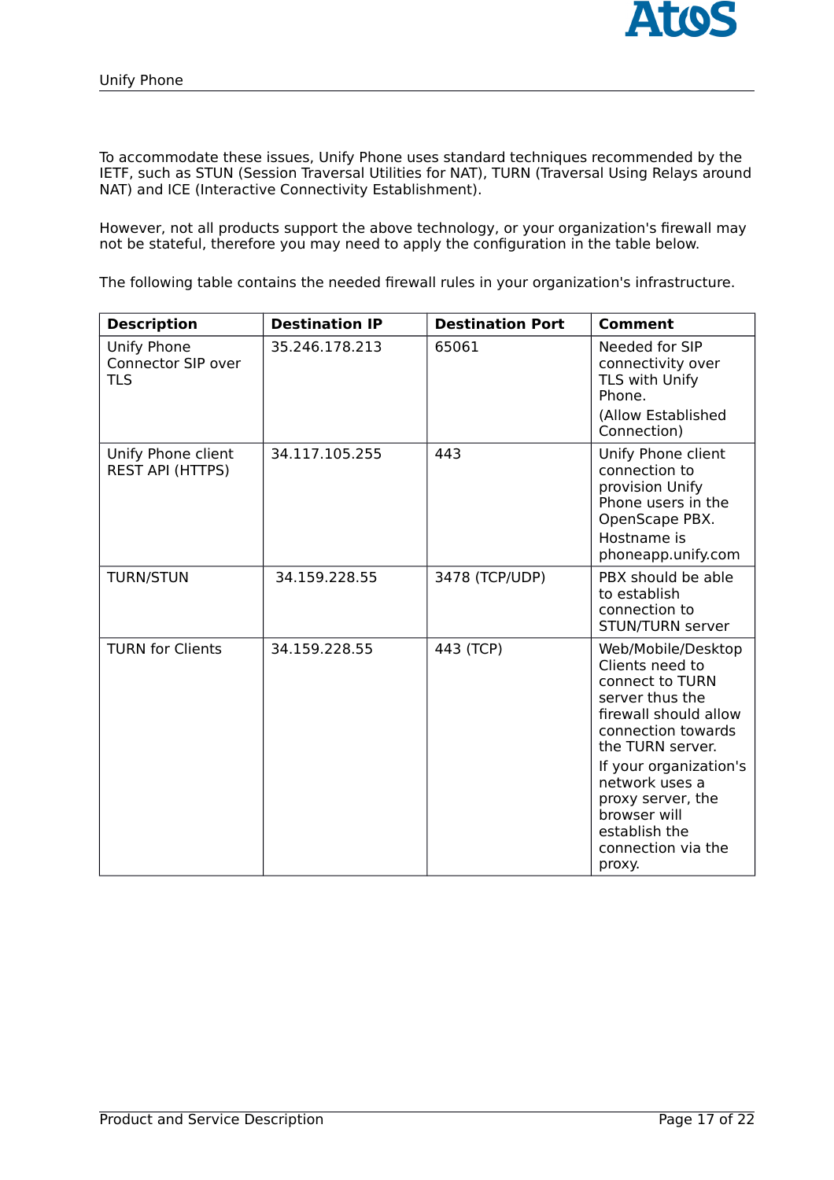

To accommodate these issues, Unify Phone uses standard techniques recommended by the IETF, such as STUN (Session Traversal Utilities for NAT), TURN (Traversal Using Relays around NAT) and ICE (Interactive Connectivity Establishment).

However, not all products support the above technology, or your organization's firewall may not be stateful, therefore you may need to apply the configuration in the table below.

The following table contains the needed firewall rules in your organization's infrastructure.

| <b>Description</b>                                     | <b>Destination IP</b> | <b>Destination Port</b> | <b>Comment</b>                                                                                                                                                                                                                                                                   |
|--------------------------------------------------------|-----------------------|-------------------------|----------------------------------------------------------------------------------------------------------------------------------------------------------------------------------------------------------------------------------------------------------------------------------|
| Unify Phone<br><b>Connector SIP over</b><br><b>TLS</b> | 35.246.178.213        | 65061                   | Needed for SIP<br>connectivity over<br>TLS with Unify<br>Phone.<br>(Allow Established<br>Connection)                                                                                                                                                                             |
| Unify Phone client<br><b>REST API (HTTPS)</b>          | 34.117.105.255        | 443                     | Unify Phone client<br>connection to<br>provision Unify<br>Phone users in the<br>OpenScape PBX.<br>Hostname is<br>phoneapp.unify.com                                                                                                                                              |
| <b>TURN/STUN</b>                                       | 34.159.228.55         | 3478 (TCP/UDP)          | PBX should be able<br>to establish<br>connection to<br>STUN/TURN server                                                                                                                                                                                                          |
| <b>TURN for Clients</b>                                | 34.159.228.55         | 443 (TCP)               | Web/Mobile/Desktop<br>Clients need to<br>connect to TURN<br>server thus the<br>firewall should allow<br>connection towards<br>the TURN server.<br>If your organization's<br>network uses a<br>proxy server, the<br>browser will<br>establish the<br>connection via the<br>proxy. |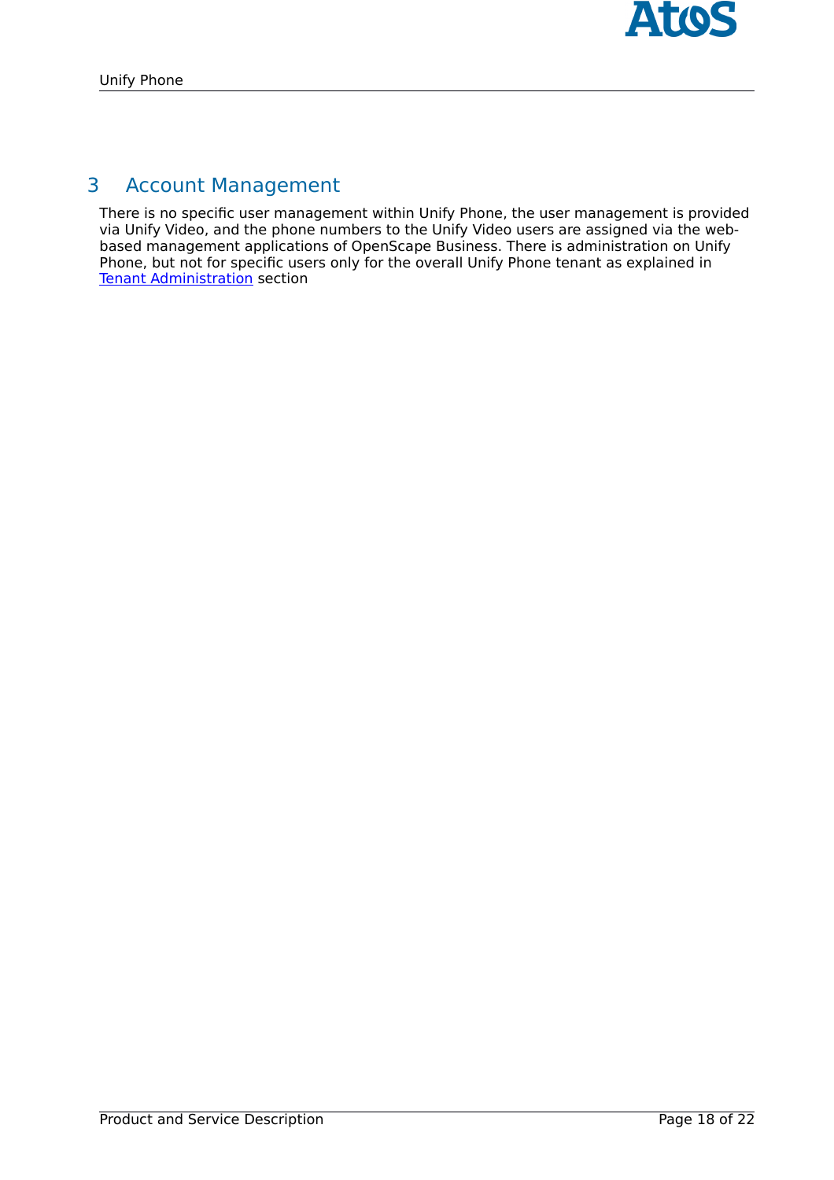

### 3 Account Management

There is no specific user management within Unify Phone, the user management is provided via Unify Video, and the phone numbers to the Unify Video users are assigned via the webbased management applications of OpenScape Business. There is administration on Unify Phone, but not for specific users only for the overall Unify Phone tenant as explained in [Tenant Administration](#page-10-0) section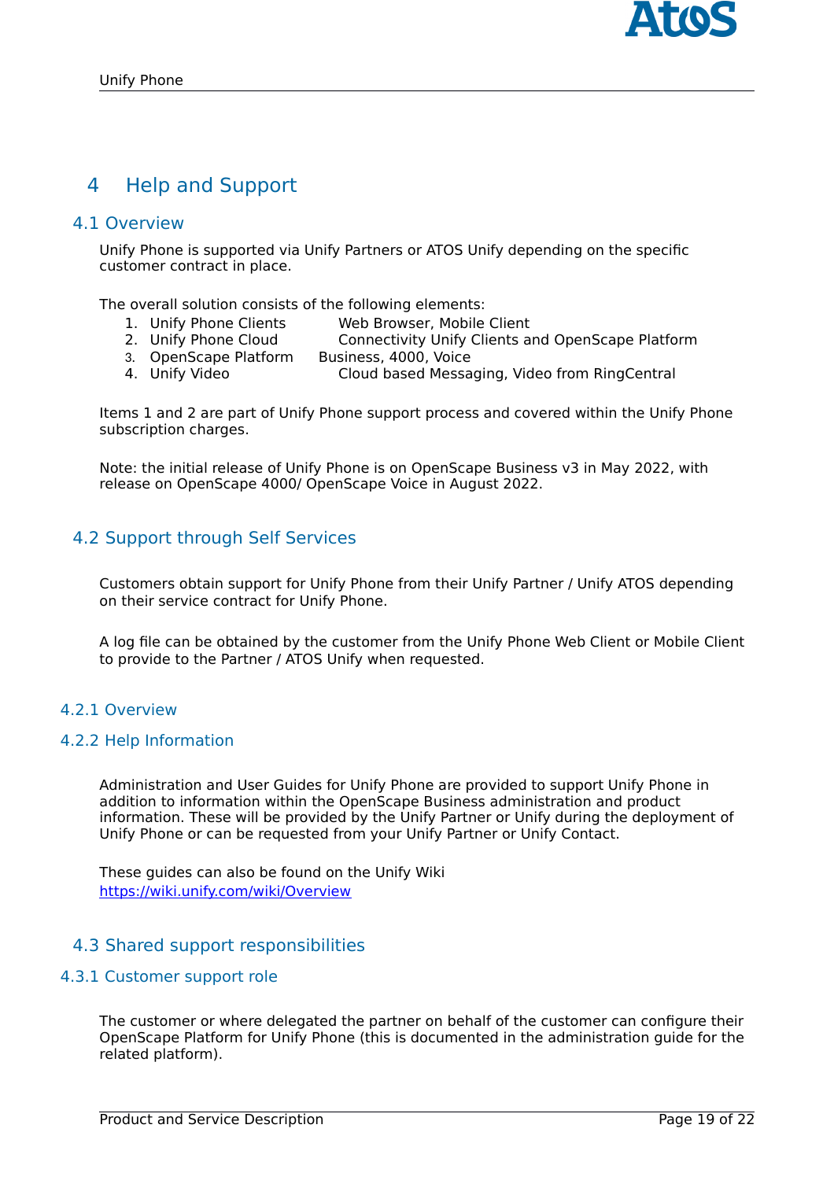

### 4 Help and Support

### 4.1 Overview

Unify Phone is supported via Unify Partners or ATOS Unify depending on the specific customer contract in place.

The overall solution consists of the following elements:

- 1. Unify Phone Clients Web Browser, Mobile Client<br>2. Unify Phone Cloud Connectivity Unify Clients a
	- Connectivity Unify Clients and OpenScape Platform
- 3. OpenScape Platform Business, 4000, Voice
- 4. Unify Video Cloud based Messaging, Video from RingCentral

Items 1 and 2 are part of Unify Phone support process and covered within the Unify Phone subscription charges.

Note: the initial release of Unify Phone is on OpenScape Business v3 in May 2022, with release on OpenScape 4000/ OpenScape Voice in August 2022.

### 4.2 Support through Self Services

Customers obtain support for Unify Phone from their Unify Partner / Unify ATOS depending on their service contract for Unify Phone.

A log file can be obtained by the customer from the Unify Phone Web Client or Mobile Client to provide to the Partner / ATOS Unify when requested.

### 4.2.1 Overview

### 4.2.2 Help Information

Administration and User Guides for Unify Phone are provided to support Unify Phone in addition to information within the OpenScape Business administration and product information. These will be provided by the Unify Partner or Unify during the deployment of Unify Phone or can be requested from your Unify Partner or Unify Contact.

These guides can also be found on the Unify Wiki <https://wiki.unify.com/wiki/Overview>

### 4.3 Shared support responsibilities

### 4.3.1 Customer support role

The customer or where delegated the partner on behalf of the customer can configure their OpenScape Platform for Unify Phone (this is documented in the administration guide for the related platform).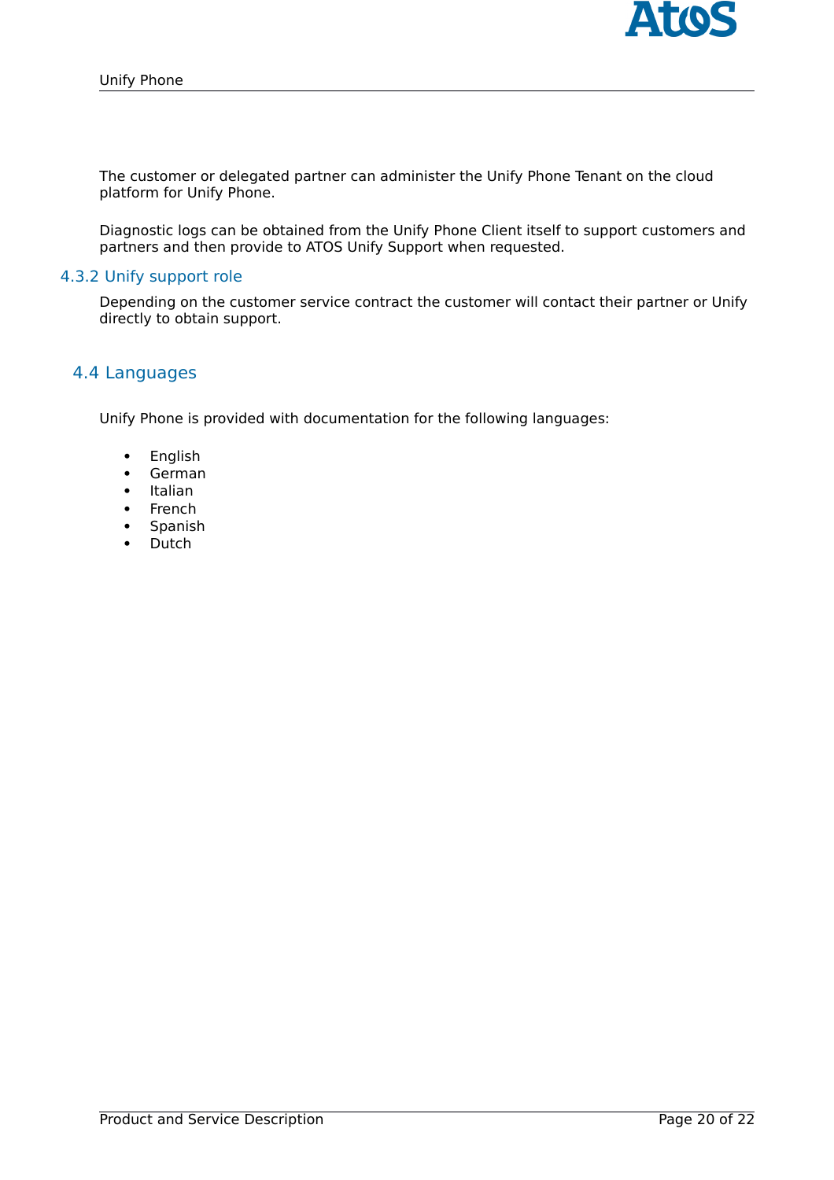

The customer or delegated partner can administer the Unify Phone Tenant on the cloud platform for Unify Phone.

Diagnostic logs can be obtained from the Unify Phone Client itself to support customers and partners and then provide to ATOS Unify Support when requested.

### 4.3.2 Unify support role

Depending on the customer service contract the customer will contact their partner or Unify directly to obtain support.

### 4.4 Languages

Unify Phone is provided with documentation for the following languages:

- English
- German
- Italian
- French
- Spanish
- Dutch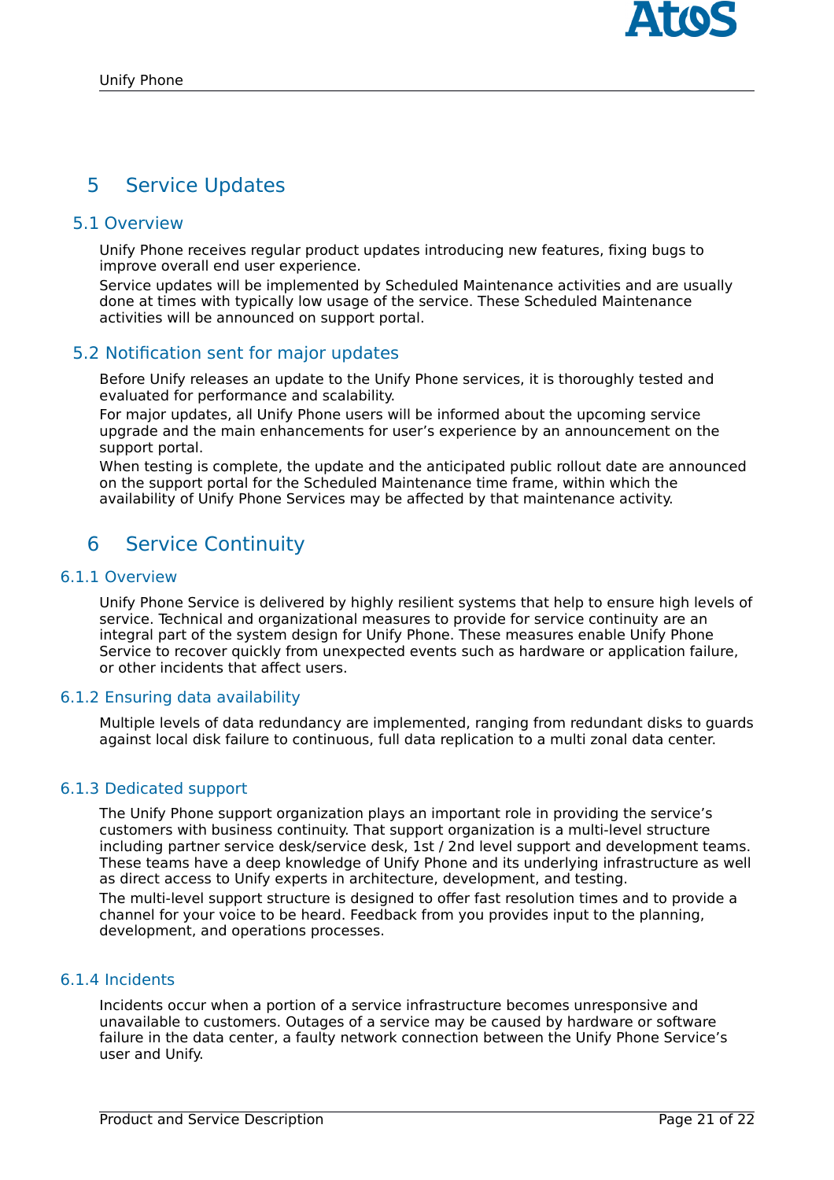

### 5 Service Updates

### 5.1 Overview

Unify Phone receives regular product updates introducing new features, fixing bugs to improve overall end user experience.

Service updates will be implemented by Scheduled Maintenance activities and are usually done at times with typically low usage of the service. These Scheduled Maintenance activities will be announced on support portal.

### 5.2 Notification sent for major updates

Before Unify releases an update to the Unify Phone services, it is thoroughly tested and evaluated for performance and scalability.

For major updates, all Unify Phone users will be informed about the upcoming service upgrade and the main enhancements for user's experience by an announcement on the support portal.

When testing is complete, the update and the anticipated public rollout date are announced on the support portal for the Scheduled Maintenance time frame, within which the availability of Unify Phone Services may be affected by that maintenance activity.

### 6 Service Continuity

### 6.1.1 Overview

Unify Phone Service is delivered by highly resilient systems that help to ensure high levels of service. Technical and organizational measures to provide for service continuity are an integral part of the system design for Unify Phone. These measures enable Unify Phone Service to recover quickly from unexpected events such as hardware or application failure, or other incidents that affect users.

### 6.1.2 Ensuring data availability

Multiple levels of data redundancy are implemented, ranging from redundant disks to guards against local disk failure to continuous, full data replication to a multi zonal data center.

### 6.1.3 Dedicated support

The Unify Phone support organization plays an important role in providing the service's customers with business continuity. That support organization is a multi-level structure including partner service desk/service desk, 1st / 2nd level support and development teams. These teams have a deep knowledge of Unify Phone and its underlying infrastructure as well as direct access to Unify experts in architecture, development, and testing.

The multi-level support structure is designed to offer fast resolution times and to provide a channel for your voice to be heard. Feedback from you provides input to the planning, development, and operations processes.

### 6.1.4 Incidents

Incidents occur when a portion of a service infrastructure becomes unresponsive and unavailable to customers. Outages of a service may be caused by hardware or software failure in the data center, a faulty network connection between the Unify Phone Service's user and Unify.